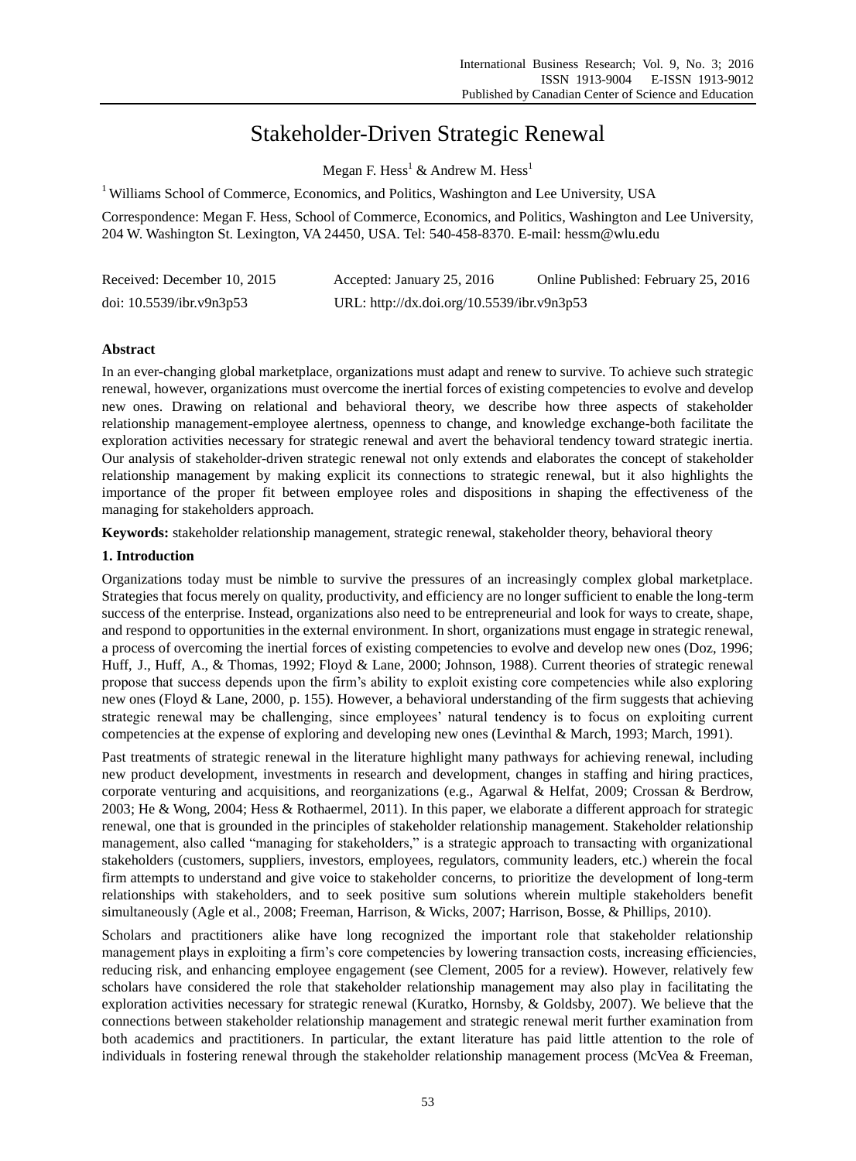# Stakeholder-Driven Strategic Renewal

Megan F. Hess<sup>1</sup> & Andrew M. Hess<sup>1</sup>

<sup>1</sup> Williams School of Commerce, Economics, and Politics, Washington and Lee University, USA

Correspondence: Megan F. Hess, School of Commerce, Economics, and Politics, Washington and Lee University, 204 W. Washington St. Lexington, VA 24450, USA. Tel: 540-458-8370. E-mail: hessm@wlu.edu

| Received: December 10, 2015 | Accepted: January 25, 2016                 | Online Published: February 25, 2016 |
|-----------------------------|--------------------------------------------|-------------------------------------|
| doi: $10.5539$ /ibr.v9n3p53 | URL: http://dx.doi.org/10.5539/ibr.v9n3p53 |                                     |

# **Abstract**

In an ever-changing global marketplace, organizations must adapt and renew to survive. To achieve such strategic renewal, however, organizations must overcome the inertial forces of existing competencies to evolve and develop new ones. Drawing on relational and behavioral theory, we describe how three aspects of stakeholder relationship management-employee alertness, openness to change, and knowledge exchange-both facilitate the exploration activities necessary for strategic renewal and avert the behavioral tendency toward strategic inertia. Our analysis of stakeholder-driven strategic renewal not only extends and elaborates the concept of stakeholder relationship management by making explicit its connections to strategic renewal, but it also highlights the importance of the proper fit between employee roles and dispositions in shaping the effectiveness of the managing for stakeholders approach.

**Keywords:** stakeholder relationship management, strategic renewal, stakeholder theory, behavioral theory

# **1. Introduction**

Organizations today must be nimble to survive the pressures of an increasingly complex global marketplace. Strategies that focus merely on quality, productivity, and efficiency are no longer sufficient to enable the long-term success of the enterprise. Instead, organizations also need to be entrepreneurial and look for ways to create, shape, and respond to opportunities in the external environment. In short, organizations must engage in strategic renewal, a process of overcoming the inertial forces of existing competencies to evolve and develop new ones (Doz, 1996; Huff, J., Huff, A., & Thomas, 1992; Floyd & Lane, 2000; Johnson, 1988). Current theories of strategic renewal propose that success depends upon the firm's ability to exploit existing core competencies while also exploring new ones (Floyd & Lane, 2000, p. 155). However, a behavioral understanding of the firm suggests that achieving strategic renewal may be challenging, since employees' natural tendency is to focus on exploiting current competencies at the expense of exploring and developing new ones (Levinthal & March, 1993; March, 1991).

Past treatments of strategic renewal in the literature highlight many pathways for achieving renewal, including new product development, investments in research and development, changes in staffing and hiring practices, corporate venturing and acquisitions, and reorganizations (e.g., Agarwal & Helfat, 2009; Crossan & Berdrow, 2003; He & Wong, 2004; Hess & Rothaermel, 2011). In this paper, we elaborate a different approach for strategic renewal, one that is grounded in the principles of stakeholder relationship management. Stakeholder relationship management, also called "managing for stakeholders," is a strategic approach to transacting with organizational stakeholders (customers, suppliers, investors, employees, regulators, community leaders, etc.) wherein the focal firm attempts to understand and give voice to stakeholder concerns, to prioritize the development of long-term relationships with stakeholders, and to seek positive sum solutions wherein multiple stakeholders benefit simultaneously (Agle et al., 2008; Freeman, Harrison, & Wicks, 2007; Harrison, Bosse, & Phillips, 2010).

Scholars and practitioners alike have long recognized the important role that stakeholder relationship management plays in exploiting a firm's core competencies by lowering transaction costs, increasing efficiencies, reducing risk, and enhancing employee engagement (see Clement, 2005 for a review). However, relatively few scholars have considered the role that stakeholder relationship management may also play in facilitating the exploration activities necessary for strategic renewal (Kuratko, Hornsby, & Goldsby, 2007). We believe that the connections between stakeholder relationship management and strategic renewal merit further examination from both academics and practitioners. In particular, the extant literature has paid little attention to the role of individuals in fostering renewal through the stakeholder relationship management process (McVea & Freeman,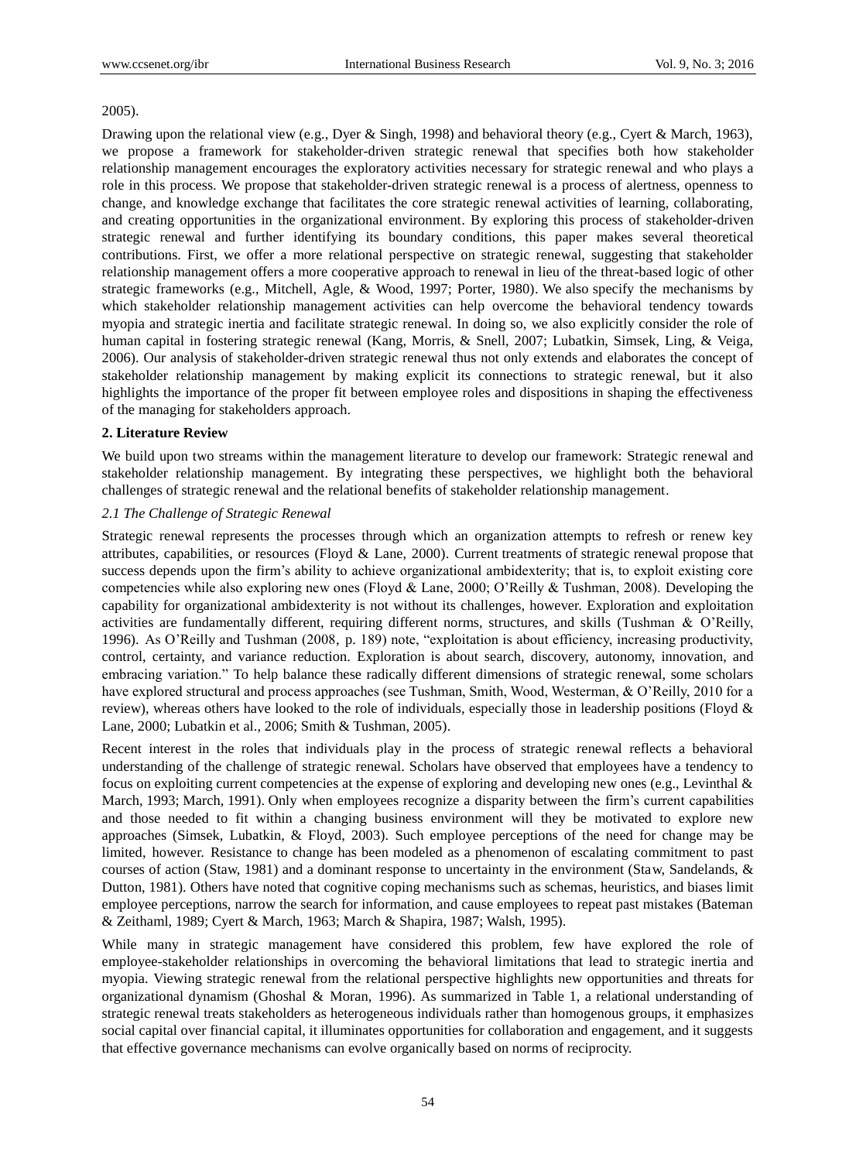#### 2005).

Drawing upon the relational view (e.g., Dyer & Singh, 1998) and behavioral theory (e.g., Cyert & March, 1963), we propose a framework for stakeholder-driven strategic renewal that specifies both how stakeholder relationship management encourages the exploratory activities necessary for strategic renewal and who plays a role in this process. We propose that stakeholder-driven strategic renewal is a process of alertness, openness to change, and knowledge exchange that facilitates the core strategic renewal activities of learning, collaborating, and creating opportunities in the organizational environment. By exploring this process of stakeholder-driven strategic renewal and further identifying its boundary conditions, this paper makes several theoretical contributions. First, we offer a more relational perspective on strategic renewal, suggesting that stakeholder relationship management offers a more cooperative approach to renewal in lieu of the threat-based logic of other strategic frameworks (e.g., Mitchell, Agle, & Wood, 1997; Porter, 1980). We also specify the mechanisms by which stakeholder relationship management activities can help overcome the behavioral tendency towards myopia and strategic inertia and facilitate strategic renewal. In doing so, we also explicitly consider the role of human capital in fostering strategic renewal (Kang, Morris, & Snell, 2007; Lubatkin, Simsek, Ling, & Veiga, 2006). Our analysis of stakeholder-driven strategic renewal thus not only extends and elaborates the concept of stakeholder relationship management by making explicit its connections to strategic renewal, but it also highlights the importance of the proper fit between employee roles and dispositions in shaping the effectiveness of the managing for stakeholders approach.

#### **2. Literature Review**

We build upon two streams within the management literature to develop our framework: Strategic renewal and stakeholder relationship management. By integrating these perspectives, we highlight both the behavioral challenges of strategic renewal and the relational benefits of stakeholder relationship management.

## *2.1 The Challenge of Strategic Renewal*

Strategic renewal represents the processes through which an organization attempts to refresh or renew key attributes, capabilities, or resources (Floyd & Lane, 2000). Current treatments of strategic renewal propose that success depends upon the firm's ability to achieve organizational ambidexterity; that is, to exploit existing core competencies while also exploring new ones (Floyd & Lane, 2000; O'Reilly & Tushman, 2008). Developing the capability for organizational ambidexterity is not without its challenges, however. Exploration and exploitation activities are fundamentally different, requiring different norms, structures, and skills (Tushman & O'Reilly, 1996). As O'Reilly and Tushman (2008, p. 189) note, "exploitation is about efficiency, increasing productivity, control, certainty, and variance reduction. Exploration is about search, discovery, autonomy, innovation, and embracing variation." To help balance these radically different dimensions of strategic renewal, some scholars have explored structural and process approaches (see Tushman, Smith, Wood, Westerman, & O'Reilly, 2010 for a review), whereas others have looked to the role of individuals, especially those in leadership positions (Floyd & Lane, 2000; Lubatkin et al., 2006; Smith & Tushman, 2005).

Recent interest in the roles that individuals play in the process of strategic renewal reflects a behavioral understanding of the challenge of strategic renewal. Scholars have observed that employees have a tendency to focus on exploiting current competencies at the expense of exploring and developing new ones (e.g., Levinthal & March, 1993; March, 1991). Only when employees recognize a disparity between the firm's current capabilities and those needed to fit within a changing business environment will they be motivated to explore new approaches (Simsek, Lubatkin, & Floyd, 2003). Such employee perceptions of the need for change may be limited, however. Resistance to change has been modeled as a phenomenon of escalating commitment to past courses of action (Staw, 1981) and a dominant response to uncertainty in the environment (Staw, Sandelands, & Dutton, 1981). Others have noted that cognitive coping mechanisms such as schemas, heuristics, and biases limit employee perceptions, narrow the search for information, and cause employees to repeat past mistakes (Bateman & Zeithaml, 1989; Cyert & March, 1963; March & Shapira, 1987; Walsh, 1995).

While many in strategic management have considered this problem, few have explored the role of employee-stakeholder relationships in overcoming the behavioral limitations that lead to strategic inertia and myopia. Viewing strategic renewal from the relational perspective highlights new opportunities and threats for organizational dynamism (Ghoshal & Moran, 1996). As summarized in Table 1, a relational understanding of strategic renewal treats stakeholders as heterogeneous individuals rather than homogenous groups, it emphasizes social capital over financial capital, it illuminates opportunities for collaboration and engagement, and it suggests that effective governance mechanisms can evolve organically based on norms of reciprocity.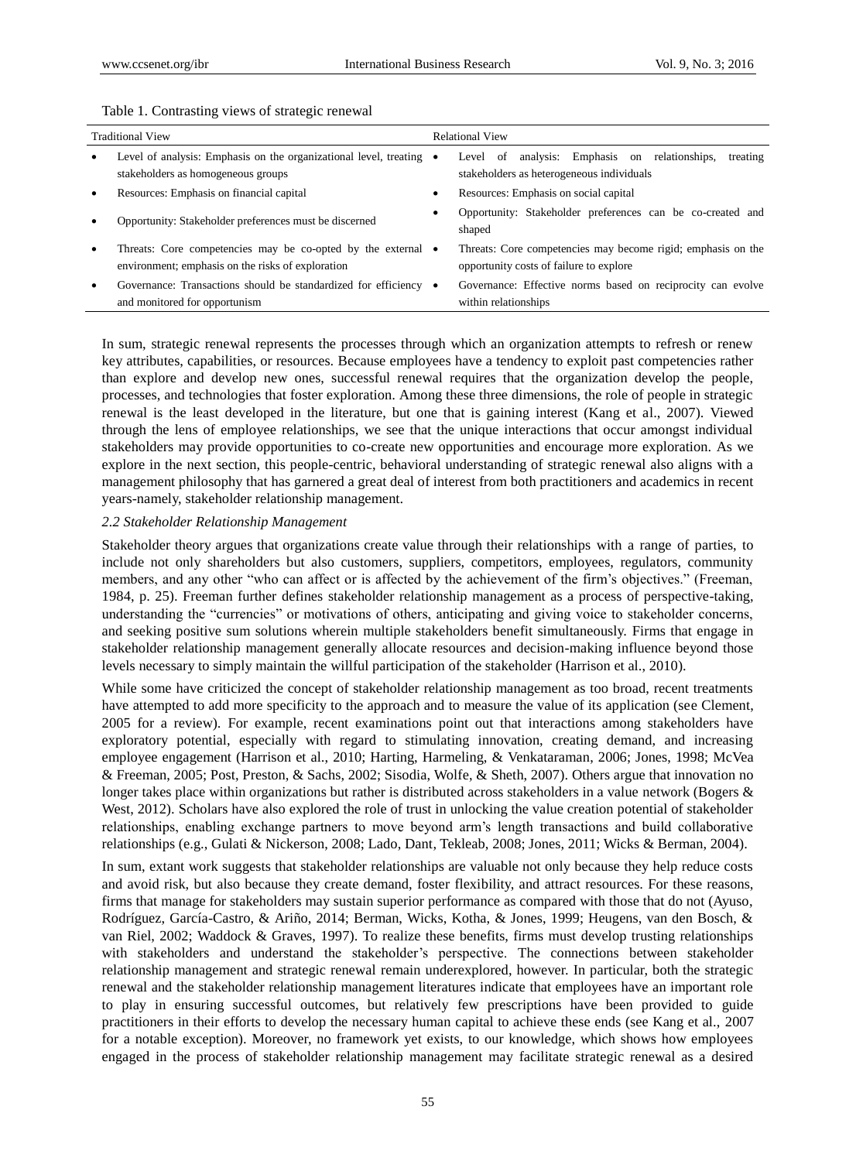| Table 1. Contrasting views of strategic renewal |  |  |
|-------------------------------------------------|--|--|
|                                                 |  |  |
|                                                 |  |  |

|           | <b>Traditional View</b>                                                                                                   | <b>Relational View</b>                                                                                          |
|-----------|---------------------------------------------------------------------------------------------------------------------------|-----------------------------------------------------------------------------------------------------------------|
|           | Level of analysis: Emphasis on the organizational level, treating •<br>stakeholders as homogeneous groups                 | analysis: Emphasis on<br>relationships.<br>treating<br>of<br>Level<br>stakeholders as heterogeneous individuals |
| ٠         | Resources: Emphasis on financial capital                                                                                  | Resources: Emphasis on social capital                                                                           |
|           | Opportunity: Stakeholder preferences must be discerned                                                                    | Opportunity: Stakeholder preferences can be co-created and<br>shaped                                            |
| $\bullet$ | Threats: Core competencies may be co-opted by the external $\bullet$<br>environment; emphasis on the risks of exploration | Threats: Core competencies may become rigid; emphasis on the<br>opportunity costs of failure to explore         |
|           | Governance: Transactions should be standardized for efficiency •<br>and monitored for opportunism                         | Governance: Effective norms based on reciprocity can evolve<br>within relationships                             |

In sum, strategic renewal represents the processes through which an organization attempts to refresh or renew key attributes, capabilities, or resources. Because employees have a tendency to exploit past competencies rather than explore and develop new ones, successful renewal requires that the organization develop the people, processes, and technologies that foster exploration. Among these three dimensions, the role of people in strategic renewal is the least developed in the literature, but one that is gaining interest (Kang et al., 2007). Viewed through the lens of employee relationships, we see that the unique interactions that occur amongst individual stakeholders may provide opportunities to co-create new opportunities and encourage more exploration. As we explore in the next section, this people-centric, behavioral understanding of strategic renewal also aligns with a management philosophy that has garnered a great deal of interest from both practitioners and academics in recent years-namely, stakeholder relationship management.

#### *2.2 Stakeholder Relationship Management*

Stakeholder theory argues that organizations create value through their relationships with a range of parties, to include not only shareholders but also customers, suppliers, competitors, employees, regulators, community members, and any other "who can affect or is affected by the achievement of the firm's objectives." (Freeman, 1984, p. 25). Freeman further defines stakeholder relationship management as a process of perspective-taking, understanding the "currencies" or motivations of others, anticipating and giving voice to stakeholder concerns, and seeking positive sum solutions wherein multiple stakeholders benefit simultaneously. Firms that engage in stakeholder relationship management generally allocate resources and decision-making influence beyond those levels necessary to simply maintain the willful participation of the stakeholder (Harrison et al., 2010).

While some have criticized the concept of stakeholder relationship management as too broad, recent treatments have attempted to add more specificity to the approach and to measure the value of its application (see Clement, 2005 for a review). For example, recent examinations point out that interactions among stakeholders have exploratory potential, especially with regard to stimulating innovation, creating demand, and increasing employee engagement (Harrison et al., 2010; Harting, Harmeling, & Venkataraman, 2006; Jones, 1998; McVea & Freeman, 2005; Post, Preston, & Sachs, 2002; Sisodia, Wolfe, & Sheth, 2007). Others argue that innovation no longer takes place within organizations but rather is distributed across stakeholders in a value network (Bogers & West, 2012). Scholars have also explored the role of trust in unlocking the value creation potential of stakeholder relationships, enabling exchange partners to move beyond arm's length transactions and build collaborative relationships (e.g., Gulati & Nickerson, 2008; Lado, Dant, Tekleab, 2008; Jones, 2011; Wicks & Berman, 2004).

In sum, extant work suggests that stakeholder relationships are valuable not only because they help reduce costs and avoid risk, but also because they create demand, foster flexibility, and attract resources. For these reasons, firms that manage for stakeholders may sustain superior performance as compared with those that do not (Ayuso, Rodríguez, García-Castro, & Ariño, 2014; Berman, Wicks, Kotha, & Jones, 1999; Heugens, van den Bosch, & van Riel, 2002; Waddock & Graves, 1997). To realize these benefits, firms must develop trusting relationships with stakeholders and understand the stakeholder's perspective. The connections between stakeholder relationship management and strategic renewal remain underexplored, however. In particular, both the strategic renewal and the stakeholder relationship management literatures indicate that employees have an important role to play in ensuring successful outcomes, but relatively few prescriptions have been provided to guide practitioners in their efforts to develop the necessary human capital to achieve these ends (see Kang et al., 2007 for a notable exception). Moreover, no framework yet exists, to our knowledge, which shows how employees engaged in the process of stakeholder relationship management may facilitate strategic renewal as a desired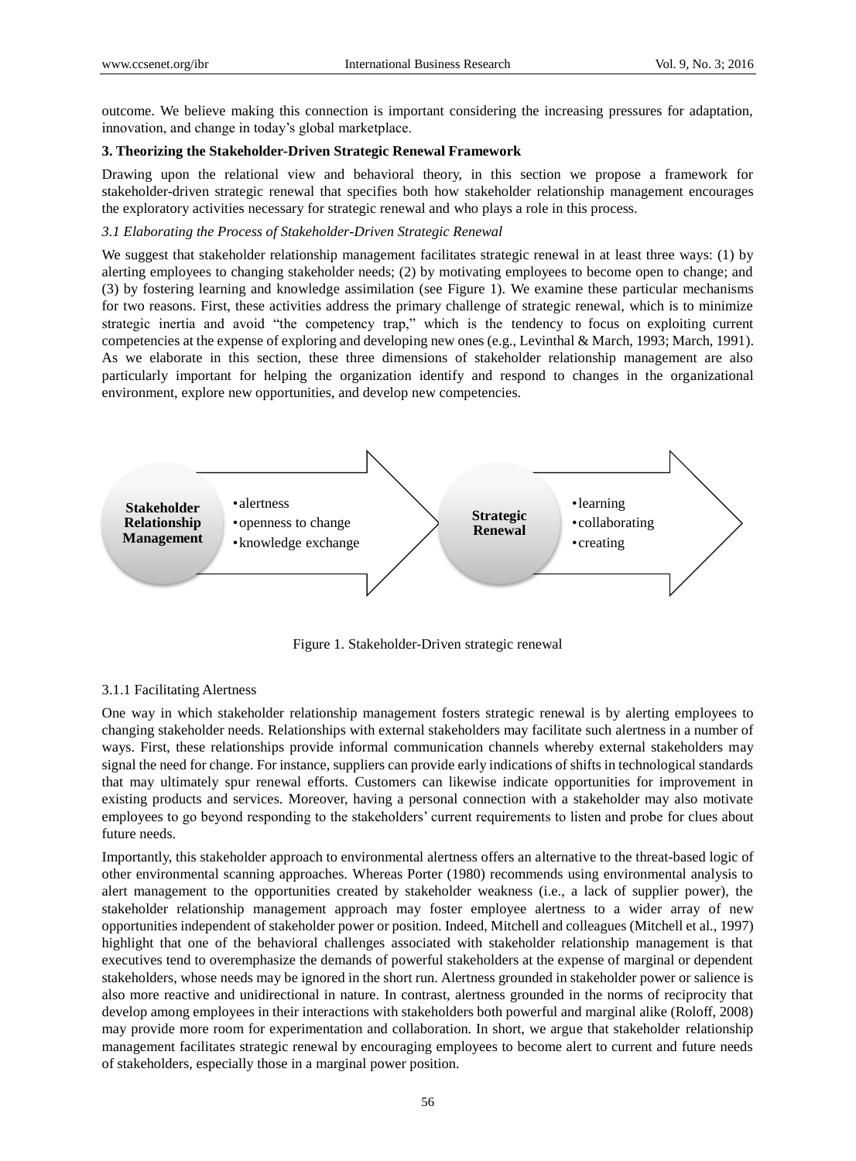outcome. We believe making this connection is important considering the increasing pressures for adaptation, innovation, and change in today's global marketplace.

### **3. Theorizing the Stakeholder-Driven Strategic Renewal Framework**

Drawing upon the relational view and behavioral theory, in this section we propose a framework for stakeholder-driven strategic renewal that specifies both how stakeholder relationship management encourages the exploratory activities necessary for strategic renewal and who plays a role in this process.

## *3.1 Elaborating the Process of Stakeholder-Driven Strategic Renewal*

We suggest that stakeholder relationship management facilitates strategic renewal in at least three ways: (1) by alerting employees to changing stakeholder needs; (2) by motivating employees to become open to change; and (3) by fostering learning and knowledge assimilation (see Figure 1). We examine these particular mechanisms for two reasons. First, these activities address the primary challenge of strategic renewal, which is to minimize strategic inertia and avoid "the competency trap," which is the tendency to focus on exploiting current competencies at the expense of exploring and developing new ones (e.g., Levinthal & March, 1993; March, 1991). As we elaborate in this section, these three dimensions of stakeholder relationship management are also particularly important for helping the organization identify and respond to changes in the organizational environment, explore new opportunities, and develop new competencies.



Figure 1. Stakeholder-Driven strategic renewal

#### 3.1.1 Facilitating Alertness

One way in which stakeholder relationship management fosters strategic renewal is by alerting employees to changing stakeholder needs. Relationships with external stakeholders may facilitate such alertness in a number of ways. First, these relationships provide informal communication channels whereby external stakeholders may signal the need for change. For instance, suppliers can provide early indications of shifts in technological standards that may ultimately spur renewal efforts. Customers can likewise indicate opportunities for improvement in existing products and services. Moreover, having a personal connection with a stakeholder may also motivate employees to go beyond responding to the stakeholders' current requirements to listen and probe for clues about future needs.

Importantly, this stakeholder approach to environmental alertness offers an alternative to the threat-based logic of other environmental scanning approaches. Whereas Porter (1980) recommends using environmental analysis to alert management to the opportunities created by stakeholder weakness (i.e., a lack of supplier power), the stakeholder relationship management approach may foster employee alertness to a wider array of new opportunities independent of stakeholder power or position. Indeed, Mitchell and colleagues (Mitchell et al., 1997) highlight that one of the behavioral challenges associated with stakeholder relationship management is that executives tend to overemphasize the demands of powerful stakeholders at the expense of marginal or dependent stakeholders, whose needs may be ignored in the short run. Alertness grounded in stakeholder power or salience is also more reactive and unidirectional in nature. In contrast, alertness grounded in the norms of reciprocity that develop among employees in their interactions with stakeholders both powerful and marginal alike (Roloff, 2008) may provide more room for experimentation and collaboration. In short, we argue that stakeholder relationship management facilitates strategic renewal by encouraging employees to become alert to current and future needs of stakeholders, especially those in a marginal power position.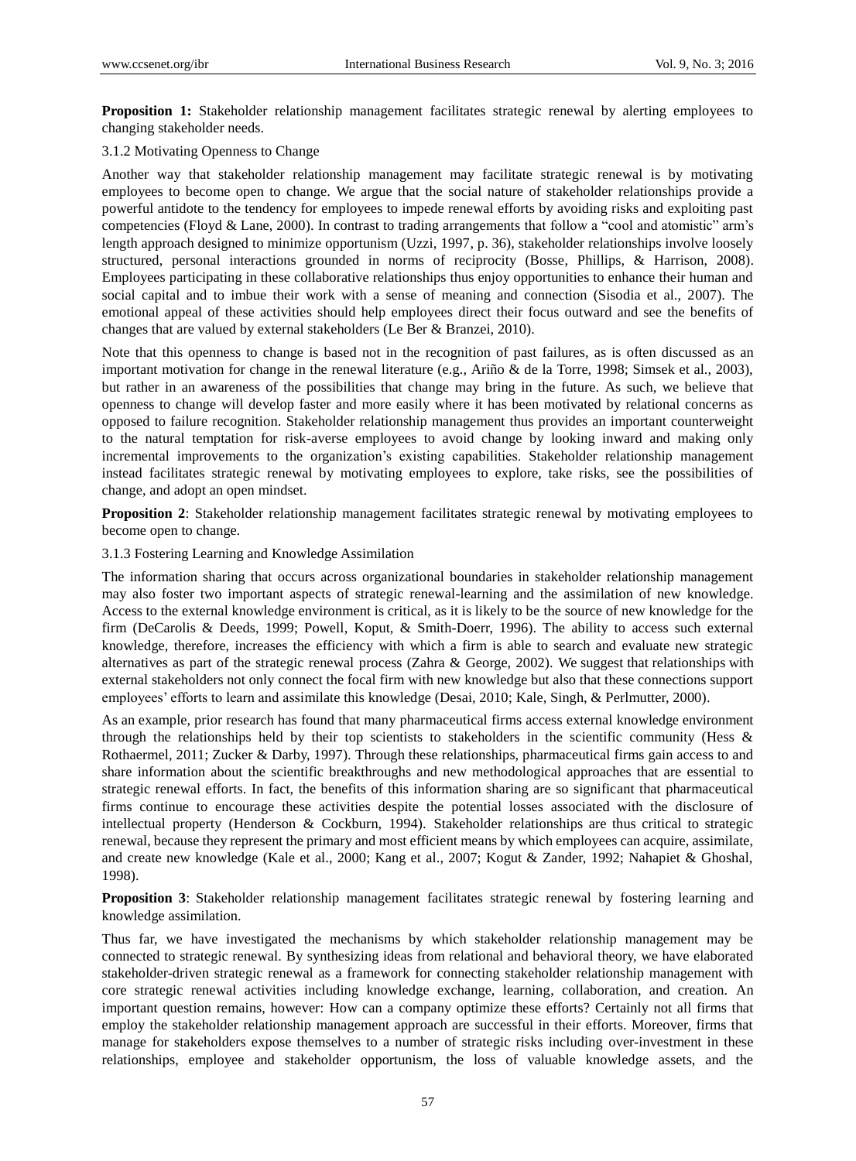**Proposition 1:** Stakeholder relationship management facilitates strategic renewal by alerting employees to changing stakeholder needs.

## 3.1.2 Motivating Openness to Change

Another way that stakeholder relationship management may facilitate strategic renewal is by motivating employees to become open to change. We argue that the social nature of stakeholder relationships provide a powerful antidote to the tendency for employees to impede renewal efforts by avoiding risks and exploiting past competencies (Floyd & Lane, 2000). In contrast to trading arrangements that follow a "cool and atomistic" arm's length approach designed to minimize opportunism (Uzzi, 1997, p. 36), stakeholder relationships involve loosely structured, personal interactions grounded in norms of reciprocity (Bosse, Phillips, & Harrison, 2008). Employees participating in these collaborative relationships thus enjoy opportunities to enhance their human and social capital and to imbue their work with a sense of meaning and connection (Sisodia et al., 2007). The emotional appeal of these activities should help employees direct their focus outward and see the benefits of changes that are valued by external stakeholders (Le Ber & Branzei, 2010).

Note that this openness to change is based not in the recognition of past failures, as is often discussed as an important motivation for change in the renewal literature (e.g., Ariño & de la Torre, 1998; Simsek et al., 2003), but rather in an awareness of the possibilities that change may bring in the future. As such, we believe that openness to change will develop faster and more easily where it has been motivated by relational concerns as opposed to failure recognition. Stakeholder relationship management thus provides an important counterweight to the natural temptation for risk-averse employees to avoid change by looking inward and making only incremental improvements to the organization's existing capabilities. Stakeholder relationship management instead facilitates strategic renewal by motivating employees to explore, take risks, see the possibilities of change, and adopt an open mindset.

**Proposition 2**: Stakeholder relationship management facilitates strategic renewal by motivating employees to become open to change*.*

3.1.3 Fostering Learning and Knowledge Assimilation

The information sharing that occurs across organizational boundaries in stakeholder relationship management may also foster two important aspects of strategic renewal-learning and the assimilation of new knowledge. Access to the external knowledge environment is critical, as it is likely to be the source of new knowledge for the firm (DeCarolis & Deeds, 1999; Powell, Koput, & Smith-Doerr, 1996). The ability to access such external knowledge, therefore, increases the efficiency with which a firm is able to search and evaluate new strategic alternatives as part of the strategic renewal process (Zahra & George, 2002). We suggest that relationships with external stakeholders not only connect the focal firm with new knowledge but also that these connections support employees' efforts to learn and assimilate this knowledge (Desai, 2010; Kale, Singh, & Perlmutter, 2000).

As an example, prior research has found that many pharmaceutical firms access external knowledge environment through the relationships held by their top scientists to stakeholders in the scientific community (Hess & Rothaermel, 2011; Zucker & Darby, 1997). Through these relationships, pharmaceutical firms gain access to and share information about the scientific breakthroughs and new methodological approaches that are essential to strategic renewal efforts. In fact, the benefits of this information sharing are so significant that pharmaceutical firms continue to encourage these activities despite the potential losses associated with the disclosure of intellectual property (Henderson & Cockburn, 1994). Stakeholder relationships are thus critical to strategic renewal, because they represent the primary and most efficient means by which employees can acquire, assimilate, and create new knowledge (Kale et al., 2000; Kang et al., 2007; Kogut & Zander, 1992; Nahapiet & Ghoshal, 1998).

**Proposition 3**: Stakeholder relationship management facilitates strategic renewal by fostering learning and knowledge assimilation.

Thus far, we have investigated the mechanisms by which stakeholder relationship management may be connected to strategic renewal. By synthesizing ideas from relational and behavioral theory, we have elaborated stakeholder-driven strategic renewal as a framework for connecting stakeholder relationship management with core strategic renewal activities including knowledge exchange, learning, collaboration, and creation. An important question remains, however: How can a company optimize these efforts? Certainly not all firms that employ the stakeholder relationship management approach are successful in their efforts. Moreover, firms that manage for stakeholders expose themselves to a number of strategic risks including over-investment in these relationships, employee and stakeholder opportunism, the loss of valuable knowledge assets, and the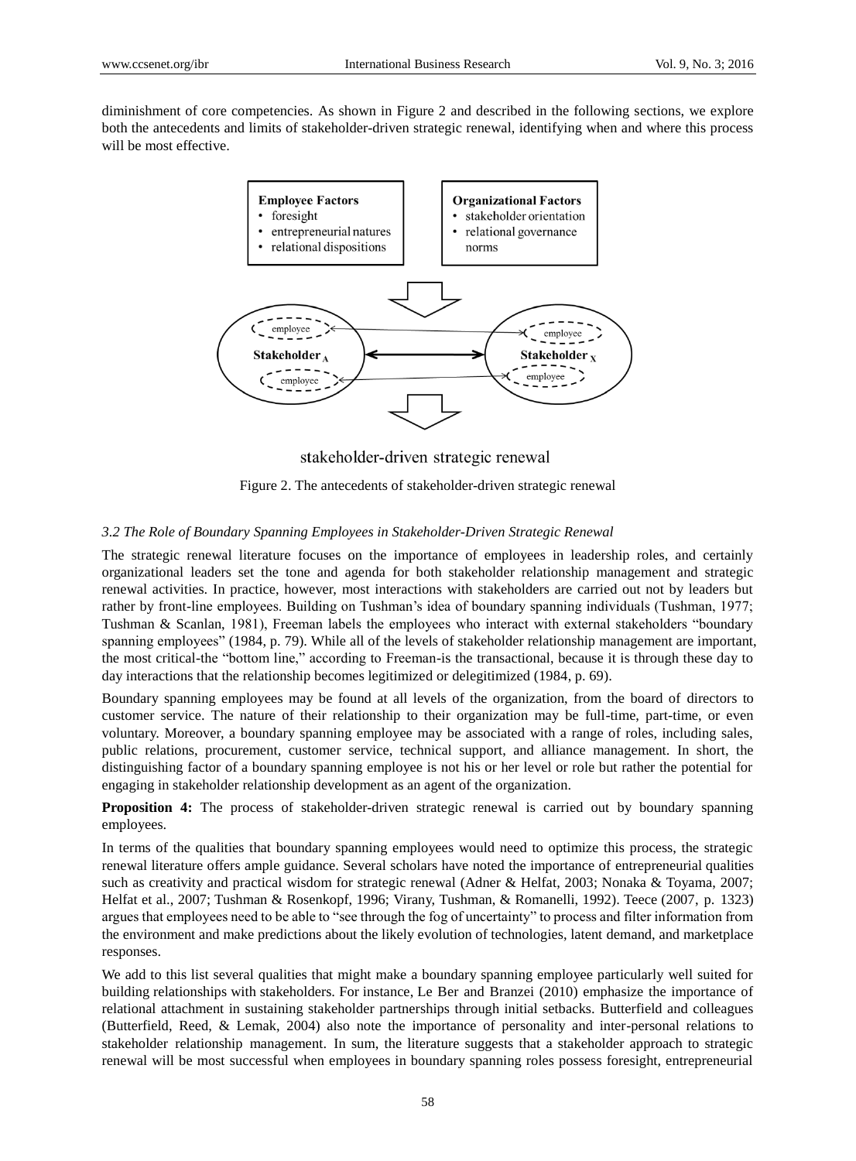diminishment of core competencies. As shown in Figure 2 and described in the following sections, we explore both the antecedents and limits of stakeholder-driven strategic renewal, identifying when and where this process will be most effective.



stakeholder-driven strategic renewal

Figure 2. The antecedents of stakeholder-driven strategic renewal

## *3.2 The Role of Boundary Spanning Employees in Stakeholder-Driven Strategic Renewal*

The strategic renewal literature focuses on the importance of employees in leadership roles, and certainly organizational leaders set the tone and agenda for both stakeholder relationship management and strategic renewal activities. In practice, however, most interactions with stakeholders are carried out not by leaders but rather by front-line employees. Building on Tushman's idea of boundary spanning individuals (Tushman, 1977; Tushman & Scanlan, 1981), Freeman labels the employees who interact with external stakeholders "boundary spanning employees" (1984, p. 79). While all of the levels of stakeholder relationship management are important, the most critical-the "bottom line," according to Freeman-is the transactional, because it is through these day to day interactions that the relationship becomes legitimized or delegitimized (1984, p. 69).

Boundary spanning employees may be found at all levels of the organization, from the board of directors to customer service. The nature of their relationship to their organization may be full-time, part-time, or even voluntary. Moreover, a boundary spanning employee may be associated with a range of roles, including sales, public relations, procurement, customer service, technical support, and alliance management. In short, the distinguishing factor of a boundary spanning employee is not his or her level or role but rather the potential for engaging in stakeholder relationship development as an agent of the organization.

**Proposition 4:** The process of stakeholder-driven strategic renewal is carried out by boundary spanning employees.

In terms of the qualities that boundary spanning employees would need to optimize this process, the strategic renewal literature offers ample guidance. Several scholars have noted the importance of entrepreneurial qualities such as creativity and practical wisdom for strategic renewal (Adner & Helfat, 2003; Nonaka & Toyama, 2007; Helfat et al., 2007; Tushman & Rosenkopf, 1996; Virany, Tushman, & Romanelli, 1992). Teece (2007, p. 1323) argues that employees need to be able to "see through the fog of uncertainty" to process and filter information from the environment and make predictions about the likely evolution of technologies, latent demand, and marketplace responses.

We add to this list several qualities that might make a boundary spanning employee particularly well suited for building relationships with stakeholders. For instance, Le Ber and Branzei (2010) emphasize the importance of relational attachment in sustaining stakeholder partnerships through initial setbacks. Butterfield and colleagues (Butterfield, Reed, & Lemak, 2004) also note the importance of personality and inter-personal relations to stakeholder relationship management. In sum, the literature suggests that a stakeholder approach to strategic renewal will be most successful when employees in boundary spanning roles possess foresight, entrepreneurial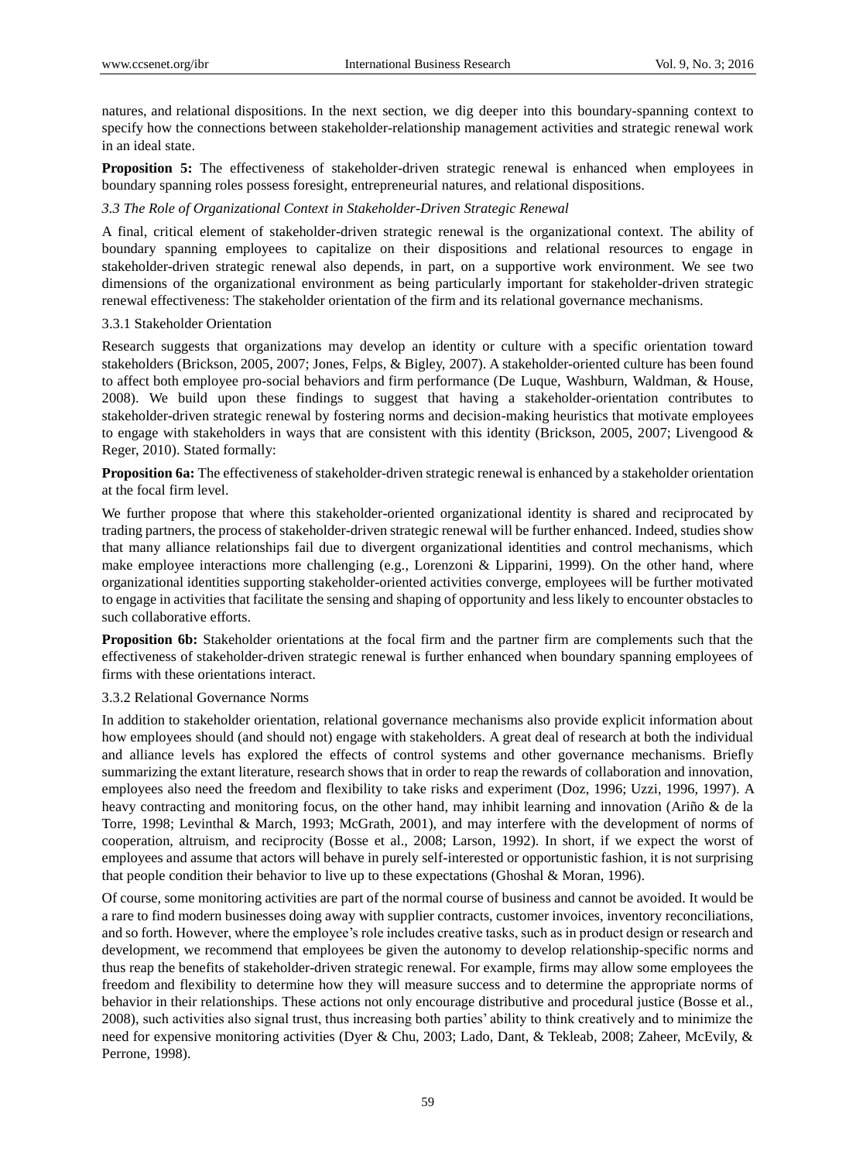natures, and relational dispositions. In the next section, we dig deeper into this boundary-spanning context to specify how the connections between stakeholder-relationship management activities and strategic renewal work in an ideal state.

**Proposition 5:** The effectiveness of stakeholder-driven strategic renewal is enhanced when employees in boundary spanning roles possess foresight, entrepreneurial natures, and relational dispositions.

# *3.3 The Role of Organizational Context in Stakeholder-Driven Strategic Renewal*

A final, critical element of stakeholder-driven strategic renewal is the organizational context. The ability of boundary spanning employees to capitalize on their dispositions and relational resources to engage in stakeholder-driven strategic renewal also depends, in part, on a supportive work environment. We see two dimensions of the organizational environment as being particularly important for stakeholder-driven strategic renewal effectiveness: The stakeholder orientation of the firm and its relational governance mechanisms.

# 3.3.1 Stakeholder Orientation

Research suggests that organizations may develop an identity or culture with a specific orientation toward stakeholders (Brickson, 2005, 2007; Jones, Felps, & Bigley, 2007). A stakeholder-oriented culture has been found to affect both employee pro-social behaviors and firm performance (De Luque, Washburn, Waldman, & House, 2008). We build upon these findings to suggest that having a stakeholder-orientation contributes to stakeholder-driven strategic renewal by fostering norms and decision-making heuristics that motivate employees to engage with stakeholders in ways that are consistent with this identity (Brickson, 2005, 2007; Livengood & Reger, 2010). Stated formally:

**Proposition 6a:** The effectiveness of stakeholder-driven strategic renewal is enhanced by a stakeholder orientation at the focal firm level.

We further propose that where this stakeholder-oriented organizational identity is shared and reciprocated by trading partners, the process of stakeholder-driven strategic renewal will be further enhanced. Indeed, studies show that many alliance relationships fail due to divergent organizational identities and control mechanisms, which make employee interactions more challenging (e.g., Lorenzoni & Lipparini, 1999). On the other hand, where organizational identities supporting stakeholder-oriented activities converge, employees will be further motivated to engage in activities that facilitate the sensing and shaping of opportunity and less likely to encounter obstacles to such collaborative efforts.

**Proposition 6b:** Stakeholder orientations at the focal firm and the partner firm are complements such that the effectiveness of stakeholder-driven strategic renewal is further enhanced when boundary spanning employees of firms with these orientations interact.

3.3.2 Relational Governance Norms

In addition to stakeholder orientation, relational governance mechanisms also provide explicit information about how employees should (and should not) engage with stakeholders. A great deal of research at both the individual and alliance levels has explored the effects of control systems and other governance mechanisms. Briefly summarizing the extant literature, research shows that in order to reap the rewards of collaboration and innovation, employees also need the freedom and flexibility to take risks and experiment (Doz, 1996; Uzzi, 1996, 1997). A heavy contracting and monitoring focus, on the other hand, may inhibit learning and innovation (Ariño & de la Torre, 1998; Levinthal & March, 1993; McGrath, 2001), and may interfere with the development of norms of cooperation, altruism, and reciprocity (Bosse et al., 2008; Larson, 1992). In short, if we expect the worst of employees and assume that actors will behave in purely self-interested or opportunistic fashion, it is not surprising that people condition their behavior to live up to these expectations (Ghoshal & Moran, 1996).

Of course, some monitoring activities are part of the normal course of business and cannot be avoided. It would be a rare to find modern businesses doing away with supplier contracts, customer invoices, inventory reconciliations, and so forth. However, where the employee's role includes creative tasks, such as in product design or research and development, we recommend that employees be given the autonomy to develop relationship-specific norms and thus reap the benefits of stakeholder-driven strategic renewal. For example, firms may allow some employees the freedom and flexibility to determine how they will measure success and to determine the appropriate norms of behavior in their relationships. These actions not only encourage distributive and procedural justice (Bosse et al., 2008), such activities also signal trust, thus increasing both parties' ability to think creatively and to minimize the need for expensive monitoring activities (Dyer & Chu, 2003; Lado, Dant, & Tekleab, 2008; Zaheer, McEvily, & Perrone, 1998).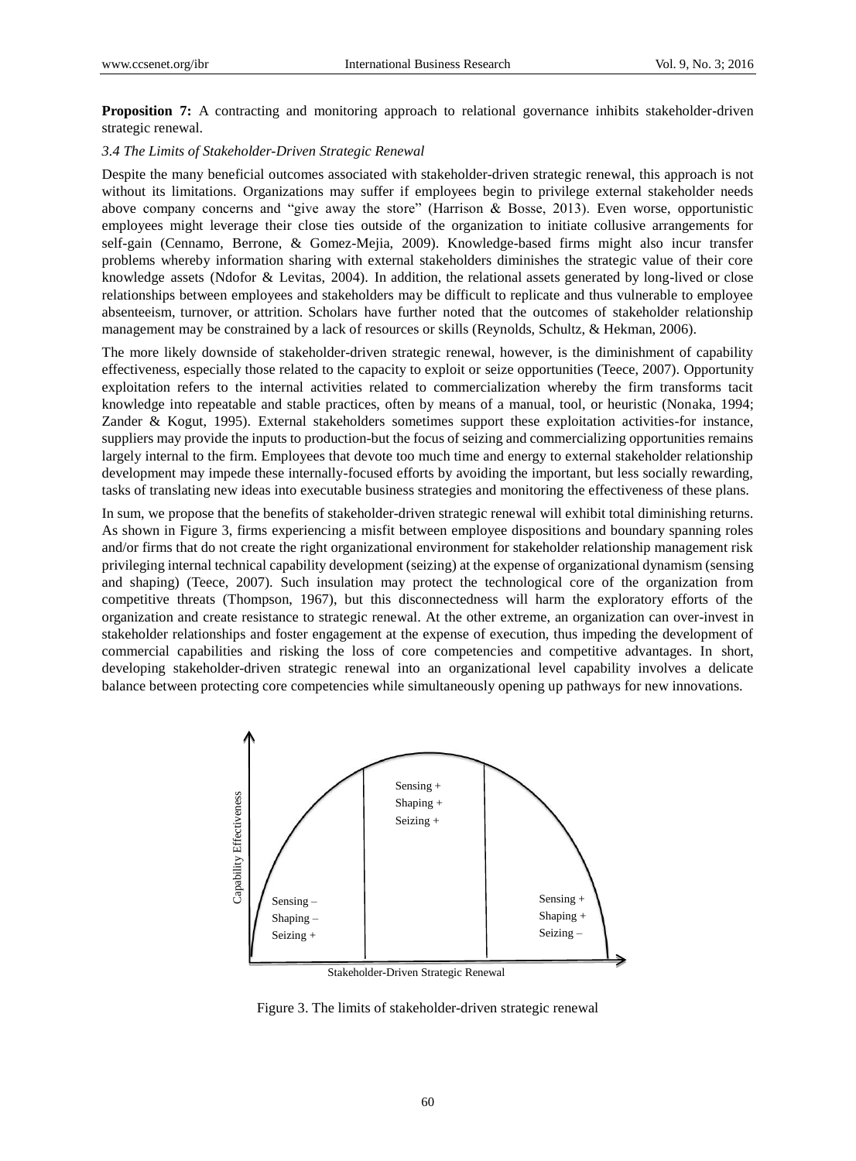**Proposition 7:** A contracting and monitoring approach to relational governance inhibits stakeholder-driven strategic renewal.

## *3.4 The Limits of Stakeholder-Driven Strategic Renewal*

Despite the many beneficial outcomes associated with stakeholder-driven strategic renewal, this approach is not without its limitations. Organizations may suffer if employees begin to privilege external stakeholder needs above company concerns and "give away the store" (Harrison & Bosse, 2013). Even worse, opportunistic employees might leverage their close ties outside of the organization to initiate collusive arrangements for self-gain (Cennamo, Berrone, & Gomez-Mejia, 2009). Knowledge-based firms might also incur transfer problems whereby information sharing with external stakeholders diminishes the strategic value of their core knowledge assets (Ndofor & Levitas, 2004). In addition, the relational assets generated by long-lived or close relationships between employees and stakeholders may be difficult to replicate and thus vulnerable to employee absenteeism, turnover, or attrition. Scholars have further noted that the outcomes of stakeholder relationship management may be constrained by a lack of resources or skills (Reynolds, Schultz, & Hekman, 2006).

The more likely downside of stakeholder-driven strategic renewal, however, is the diminishment of capability effectiveness, especially those related to the capacity to exploit or seize opportunities (Teece, 2007). Opportunity exploitation refers to the internal activities related to commercialization whereby the firm transforms tacit knowledge into repeatable and stable practices, often by means of a manual, tool, or heuristic (Nonaka, 1994; Zander & Kogut, 1995). External stakeholders sometimes support these exploitation activities-for instance, suppliers may provide the inputs to production-but the focus of seizing and commercializing opportunities remains largely internal to the firm. Employees that devote too much time and energy to external stakeholder relationship development may impede these internally-focused efforts by avoiding the important, but less socially rewarding, tasks of translating new ideas into executable business strategies and monitoring the effectiveness of these plans.

In sum, we propose that the benefits of stakeholder-driven strategic renewal will exhibit total diminishing returns. As shown in Figure 3, firms experiencing a misfit between employee dispositions and boundary spanning roles and/or firms that do not create the right organizational environment for stakeholder relationship management risk privileging internal technical capability development (seizing) at the expense of organizational dynamism (sensing and shaping) (Teece, 2007). Such insulation may protect the technological core of the organization from competitive threats (Thompson, 1967), but this disconnectedness will harm the exploratory efforts of the organization and create resistance to strategic renewal. At the other extreme, an organization can over-invest in stakeholder relationships and foster engagement at the expense of execution, thus impeding the development of commercial capabilities and risking the loss of core competencies and competitive advantages. In short, developing stakeholder-driven strategic renewal into an organizational level capability involves a delicate balance between protecting core competencies while simultaneously opening up pathways for new innovations.



Stakeholder-Driven Strategic Renewal

Figure 3. The limits of stakeholder-driven strategic renewal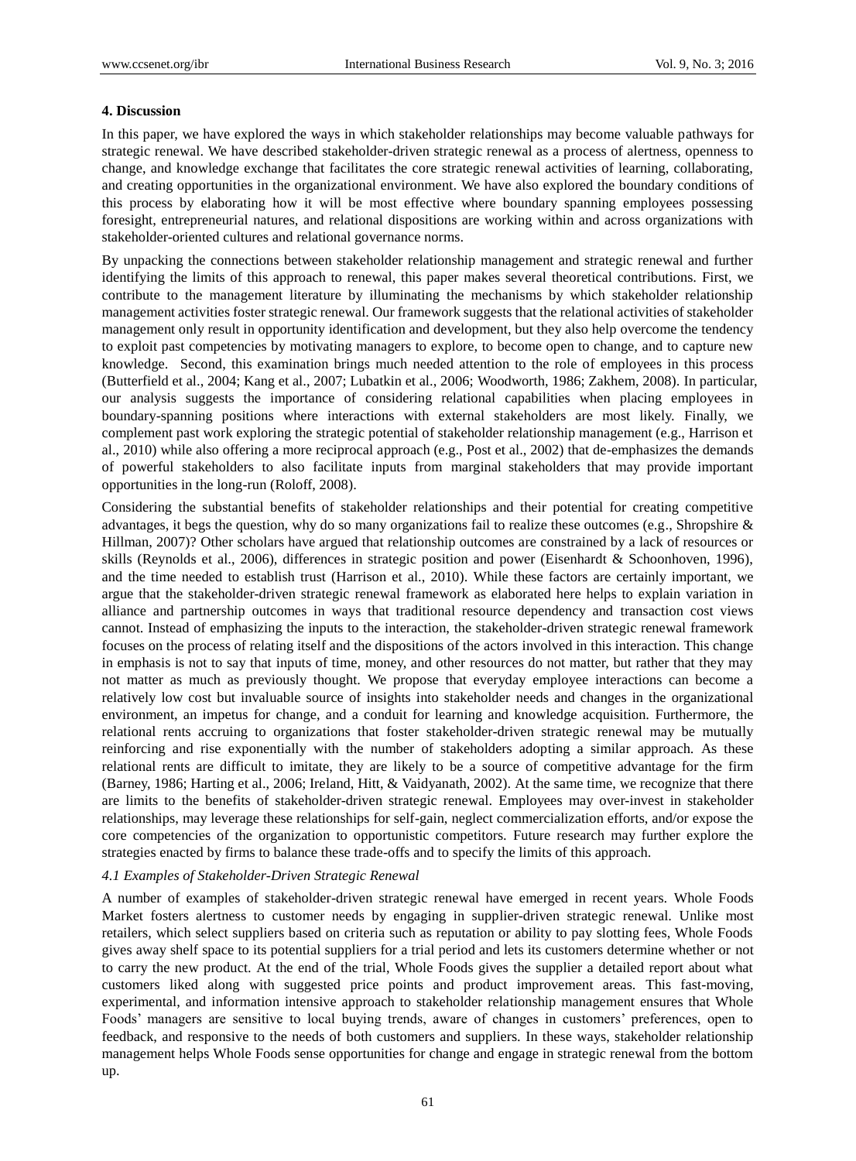#### **4. Discussion**

In this paper, we have explored the ways in which stakeholder relationships may become valuable pathways for strategic renewal. We have described stakeholder-driven strategic renewal as a process of alertness, openness to change, and knowledge exchange that facilitates the core strategic renewal activities of learning, collaborating, and creating opportunities in the organizational environment. We have also explored the boundary conditions of this process by elaborating how it will be most effective where boundary spanning employees possessing foresight, entrepreneurial natures, and relational dispositions are working within and across organizations with stakeholder-oriented cultures and relational governance norms.

By unpacking the connections between stakeholder relationship management and strategic renewal and further identifying the limits of this approach to renewal, this paper makes several theoretical contributions. First, we contribute to the management literature by illuminating the mechanisms by which stakeholder relationship management activities foster strategic renewal. Our framework suggests that the relational activities of stakeholder management only result in opportunity identification and development, but they also help overcome the tendency to exploit past competencies by motivating managers to explore, to become open to change, and to capture new knowledge. Second, this examination brings much needed attention to the role of employees in this process (Butterfield et al., 2004; Kang et al., 2007; Lubatkin et al., 2006; Woodworth, 1986; Zakhem, 2008). In particular, our analysis suggests the importance of considering relational capabilities when placing employees in boundary-spanning positions where interactions with external stakeholders are most likely. Finally, we complement past work exploring the strategic potential of stakeholder relationship management (e.g., Harrison et al., 2010) while also offering a more reciprocal approach (e.g., Post et al., 2002) that de-emphasizes the demands of powerful stakeholders to also facilitate inputs from marginal stakeholders that may provide important opportunities in the long-run (Roloff, 2008).

Considering the substantial benefits of stakeholder relationships and their potential for creating competitive advantages, it begs the question, why do so many organizations fail to realize these outcomes (e.g., Shropshire & Hillman, 2007)? Other scholars have argued that relationship outcomes are constrained by a lack of resources or skills (Reynolds et al., 2006), differences in strategic position and power (Eisenhardt & Schoonhoven, 1996), and the time needed to establish trust (Harrison et al., 2010). While these factors are certainly important, we argue that the stakeholder-driven strategic renewal framework as elaborated here helps to explain variation in alliance and partnership outcomes in ways that traditional resource dependency and transaction cost views cannot. Instead of emphasizing the inputs to the interaction, the stakeholder-driven strategic renewal framework focuses on the process of relating itself and the dispositions of the actors involved in this interaction. This change in emphasis is not to say that inputs of time, money, and other resources do not matter, but rather that they may not matter as much as previously thought. We propose that everyday employee interactions can become a relatively low cost but invaluable source of insights into stakeholder needs and changes in the organizational environment, an impetus for change, and a conduit for learning and knowledge acquisition. Furthermore, the relational rents accruing to organizations that foster stakeholder-driven strategic renewal may be mutually reinforcing and rise exponentially with the number of stakeholders adopting a similar approach. As these relational rents are difficult to imitate, they are likely to be a source of competitive advantage for the firm (Barney, 1986; Harting et al., 2006; Ireland, Hitt, & Vaidyanath, 2002). At the same time, we recognize that there are limits to the benefits of stakeholder-driven strategic renewal. Employees may over-invest in stakeholder relationships, may leverage these relationships for self-gain, neglect commercialization efforts, and/or expose the core competencies of the organization to opportunistic competitors. Future research may further explore the strategies enacted by firms to balance these trade-offs and to specify the limits of this approach.

## *4.1 Examples of Stakeholder-Driven Strategic Renewal*

A number of examples of stakeholder-driven strategic renewal have emerged in recent years. Whole Foods Market fosters alertness to customer needs by engaging in supplier-driven strategic renewal. Unlike most retailers, which select suppliers based on criteria such as reputation or ability to pay slotting fees, Whole Foods gives away shelf space to its potential suppliers for a trial period and lets its customers determine whether or not to carry the new product. At the end of the trial, Whole Foods gives the supplier a detailed report about what customers liked along with suggested price points and product improvement areas. This fast-moving, experimental, and information intensive approach to stakeholder relationship management ensures that Whole Foods' managers are sensitive to local buying trends, aware of changes in customers' preferences, open to feedback, and responsive to the needs of both customers and suppliers. In these ways, stakeholder relationship management helps Whole Foods sense opportunities for change and engage in strategic renewal from the bottom up.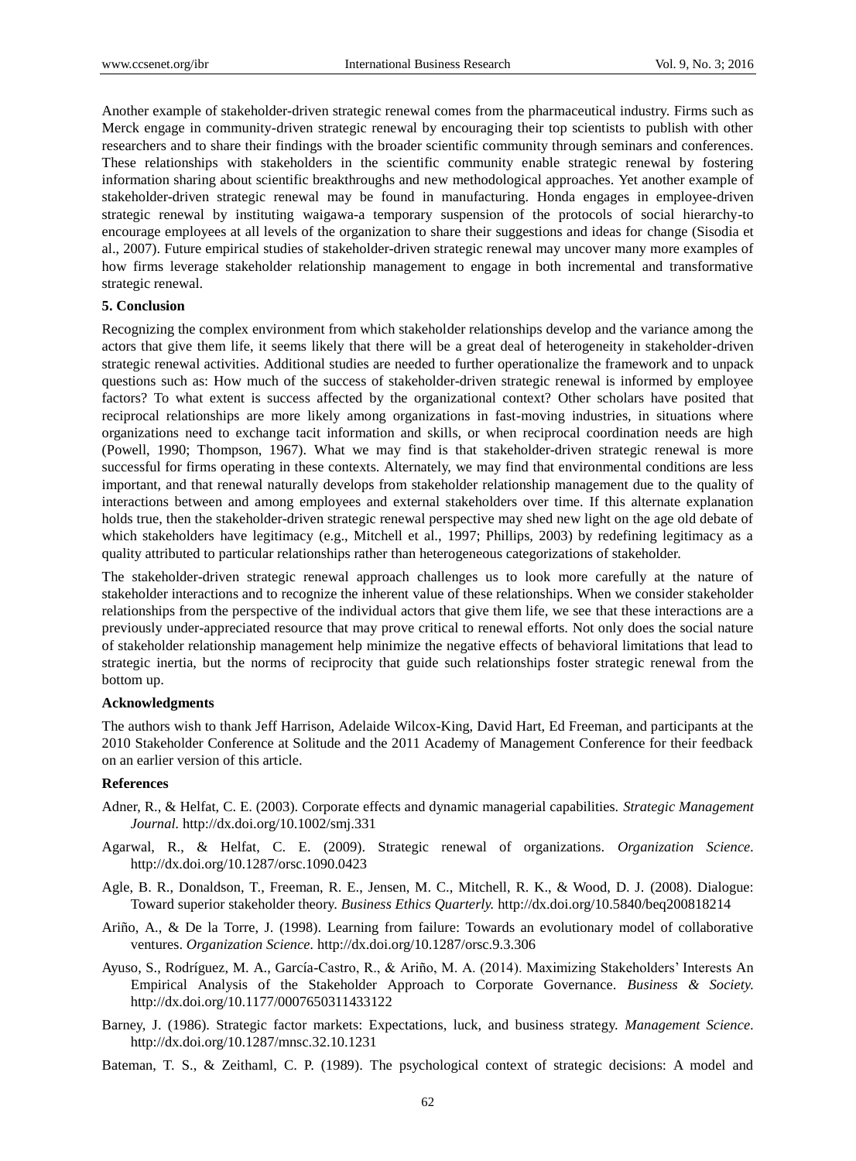Another example of stakeholder-driven strategic renewal comes from the pharmaceutical industry. Firms such as Merck engage in community-driven strategic renewal by encouraging their top scientists to publish with other researchers and to share their findings with the broader scientific community through seminars and conferences. These relationships with stakeholders in the scientific community enable strategic renewal by fostering information sharing about scientific breakthroughs and new methodological approaches. Yet another example of stakeholder-driven strategic renewal may be found in manufacturing. Honda engages in employee-driven strategic renewal by instituting waigawa-a temporary suspension of the protocols of social hierarchy-to encourage employees at all levels of the organization to share their suggestions and ideas for change (Sisodia et al., 2007). Future empirical studies of stakeholder-driven strategic renewal may uncover many more examples of how firms leverage stakeholder relationship management to engage in both incremental and transformative strategic renewal.

#### **5. Conclusion**

Recognizing the complex environment from which stakeholder relationships develop and the variance among the actors that give them life, it seems likely that there will be a great deal of heterogeneity in stakeholder-driven strategic renewal activities. Additional studies are needed to further operationalize the framework and to unpack questions such as: How much of the success of stakeholder-driven strategic renewal is informed by employee factors? To what extent is success affected by the organizational context? Other scholars have posited that reciprocal relationships are more likely among organizations in fast-moving industries, in situations where organizations need to exchange tacit information and skills, or when reciprocal coordination needs are high (Powell, 1990; Thompson, 1967). What we may find is that stakeholder-driven strategic renewal is more successful for firms operating in these contexts. Alternately, we may find that environmental conditions are less important, and that renewal naturally develops from stakeholder relationship management due to the quality of interactions between and among employees and external stakeholders over time. If this alternate explanation holds true, then the stakeholder-driven strategic renewal perspective may shed new light on the age old debate of which stakeholders have legitimacy (e.g., Mitchell et al., 1997; Phillips, 2003) by redefining legitimacy as a quality attributed to particular relationships rather than heterogeneous categorizations of stakeholder.

The stakeholder-driven strategic renewal approach challenges us to look more carefully at the nature of stakeholder interactions and to recognize the inherent value of these relationships. When we consider stakeholder relationships from the perspective of the individual actors that give them life, we see that these interactions are a previously under-appreciated resource that may prove critical to renewal efforts. Not only does the social nature of stakeholder relationship management help minimize the negative effects of behavioral limitations that lead to strategic inertia, but the norms of reciprocity that guide such relationships foster strategic renewal from the bottom up.

## **Acknowledgments**

The authors wish to thank Jeff Harrison, Adelaide Wilcox-King, David Hart, Ed Freeman, and participants at the 2010 Stakeholder Conference at Solitude and the 2011 Academy of Management Conference for their feedback on an earlier version of this article.

### **References**

- Adner, R., & Helfat, C. E. (2003). Corporate effects and dynamic managerial capabilities. *Strategic Management Journal.* <http://dx.doi.org/10.1002/smj.331>
- Agarwal, R., & Helfat, C. E. (2009). Strategic renewal of organizations. *Organization Science.* <http://dx.doi.org/10.1287/orsc.1090.0423>
- Agle, B. R., Donaldson, T., Freeman, R. E., Jensen, M. C., Mitchell, R. K., & Wood, D. J. (2008). Dialogue: Toward superior stakeholder theory. *Business Ethics Quarterly.* <http://dx.doi.org/10.5840/beq200818214>
- Ariño, A., & De la Torre, J. (1998). Learning from failure: Towards an evolutionary model of collaborative ventures. *Organization Science.* <http://dx.doi.org/10.1287/orsc.9.3.306>
- Ayuso, S., Rodríguez, M. A., García-Castro, R., & Ariño, M. A. (2014). Maximizing Stakeholders' Interests An Empirical Analysis of the Stakeholder Approach to Corporate Governance. *Business & Society.* <http://dx.doi.org/10.1177/0007650311433122>
- Barney, J. (1986). Strategic factor markets: Expectations, luck, and business strategy. *Management Science.* <http://dx.doi.org/10.1287/mnsc.32.10.1231>
- Bateman, T. S., & Zeithaml, C. P. (1989). The psychological context of strategic decisions: A model and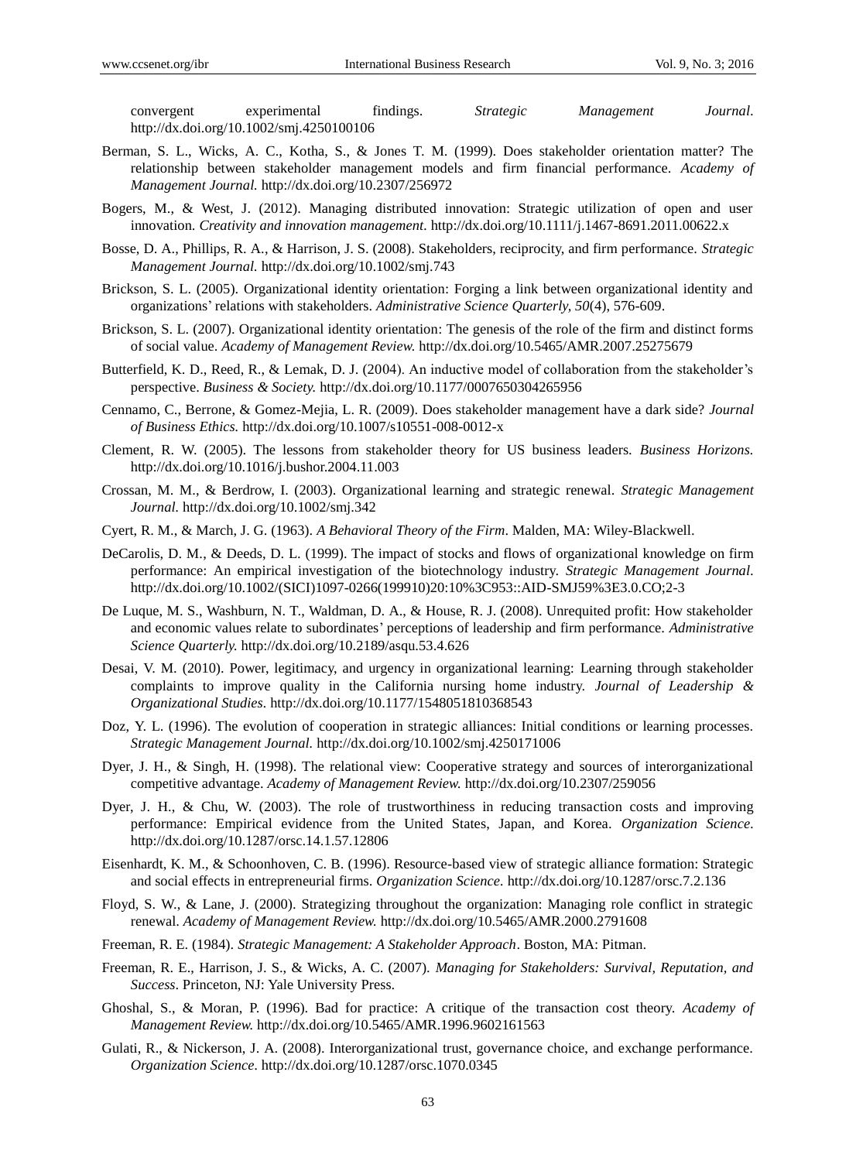convergent experimental findings. *Strategic Management Journal.* <http://dx.doi.org/10.1002/smj.4250100106>

- Berman, S. L., Wicks, A. C., Kotha, S., & Jones T. M. (1999). Does stakeholder orientation matter? The relationship between stakeholder management models and firm financial performance. *Academy of Management Journal.* <http://dx.doi.org/10.2307/256972>
- Bogers, M., & West, J. (2012). Managing distributed innovation: Strategic utilization of open and user innovation. *Creativity and innovation management.* <http://dx.doi.org/10.1111/j.1467-8691.2011.00622.x>
- Bosse, D. A., Phillips, R. A., & Harrison, J. S. (2008). Stakeholders, reciprocity, and firm performance. *Strategic Management Journal.* <http://dx.doi.org/10.1002/smj.743>
- Brickson, S. L. (2005). Organizational identity orientation: Forging a link between organizational identity and organizations' relations with stakeholders. *Administrative Science Quarterly, 50*(4), 576-609.
- Brickson, S. L. (2007). Organizational identity orientation: The genesis of the role of the firm and distinct forms of social value. *Academy of Management Review.* <http://dx.doi.org/10.5465/AMR.2007.25275679>
- Butterfield, K. D., Reed, R., & Lemak, D. J. (2004). An inductive model of collaboration from the stakeholder's perspective. *Business & Society.* <http://dx.doi.org/10.1177/0007650304265956>
- Cennamo, C., Berrone, & Gomez-Mejia, L. R. (2009). Does stakeholder management have a dark side? *Journal of Business Ethics.* <http://dx.doi.org/10.1007/s10551-008-0012-x>
- Clement, R. W. (2005). The lessons from stakeholder theory for US business leaders. *Business Horizons.* <http://dx.doi.org/10.1016/j.bushor.2004.11.003>
- Crossan, M. M., & Berdrow, I. (2003). Organizational learning and strategic renewal. *Strategic Management Journal.* <http://dx.doi.org/10.1002/smj.342>
- Cyert, R. M., & March, J. G. (1963). *A Behavioral Theory of the Firm*. Malden, MA: Wiley-Blackwell.
- DeCarolis, D. M., & Deeds, D. L. (1999). The impact of stocks and flows of organizational knowledge on firm performance: An empirical investigation of the biotechnology industry. *Strategic Management Journal.* [http://dx.doi.org/10.1002/\(SICI\)1097-0266\(199910\)20:10%3C953::AID-SMJ59%3E3.0.CO;2-3](http://dx.doi.org/10.1002/(SICI)1097-0266(199910)20:10%3C953::AID-SMJ59%3E3.0.CO;2-3)
- De Luque, M. S., Washburn, N. T., Waldman, D. A., & House, R. J. (2008). Unrequited profit: How stakeholder and economic values relate to subordinates' perceptions of leadership and firm performance. *Administrative Science Quarterly.* <http://dx.doi.org/10.2189/asqu.53.4.626>
- Desai, V. M. (2010). Power, legitimacy, and urgency in organizational learning: Learning through stakeholder complaints to improve quality in the California nursing home industry. *Journal of Leadership & Organizational Studies.* <http://dx.doi.org/10.1177/1548051810368543>
- Doz, Y. L. (1996). The evolution of cooperation in strategic alliances: Initial conditions or learning processes. *Strategic Management Journal.* <http://dx.doi.org/10.1002/smj.4250171006>
- Dyer, J. H., & Singh, H. (1998). The relational view: Cooperative strategy and sources of interorganizational competitive advantage. *Academy of Management Review.* <http://dx.doi.org/10.2307/259056>
- Dyer, J. H., & Chu, W. (2003). The role of trustworthiness in reducing transaction costs and improving performance: Empirical evidence from the United States, Japan, and Korea. *Organization Science.* <http://dx.doi.org/10.1287/orsc.14.1.57.12806>
- Eisenhardt, K. M., & Schoonhoven, C. B. (1996). Resource-based view of strategic alliance formation: Strategic and social effects in entrepreneurial firms. *Organization Science.* <http://dx.doi.org/10.1287/orsc.7.2.136>
- Floyd, S. W., & Lane, J. (2000). Strategizing throughout the organization: Managing role conflict in strategic renewal. *Academy of Management Review.* <http://dx.doi.org/10.5465/AMR.2000.2791608>
- Freeman, R. E. (1984). *Strategic Management: A Stakeholder Approach*. Boston, MA: Pitman.
- Freeman, R. E., Harrison, J. S., & Wicks, A. C. (2007). *Managing for Stakeholders: Survival, Reputation, and Success*. Princeton, NJ: Yale University Press.
- Ghoshal, S., & Moran, P. (1996). Bad for practice: A critique of the transaction cost theory. *Academy of Management Review.* <http://dx.doi.org/10.5465/AMR.1996.9602161563>
- Gulati, R., & Nickerson, J. A. (2008). Interorganizational trust, governance choice, and exchange performance. *Organization Science.* <http://dx.doi.org/10.1287/orsc.1070.0345>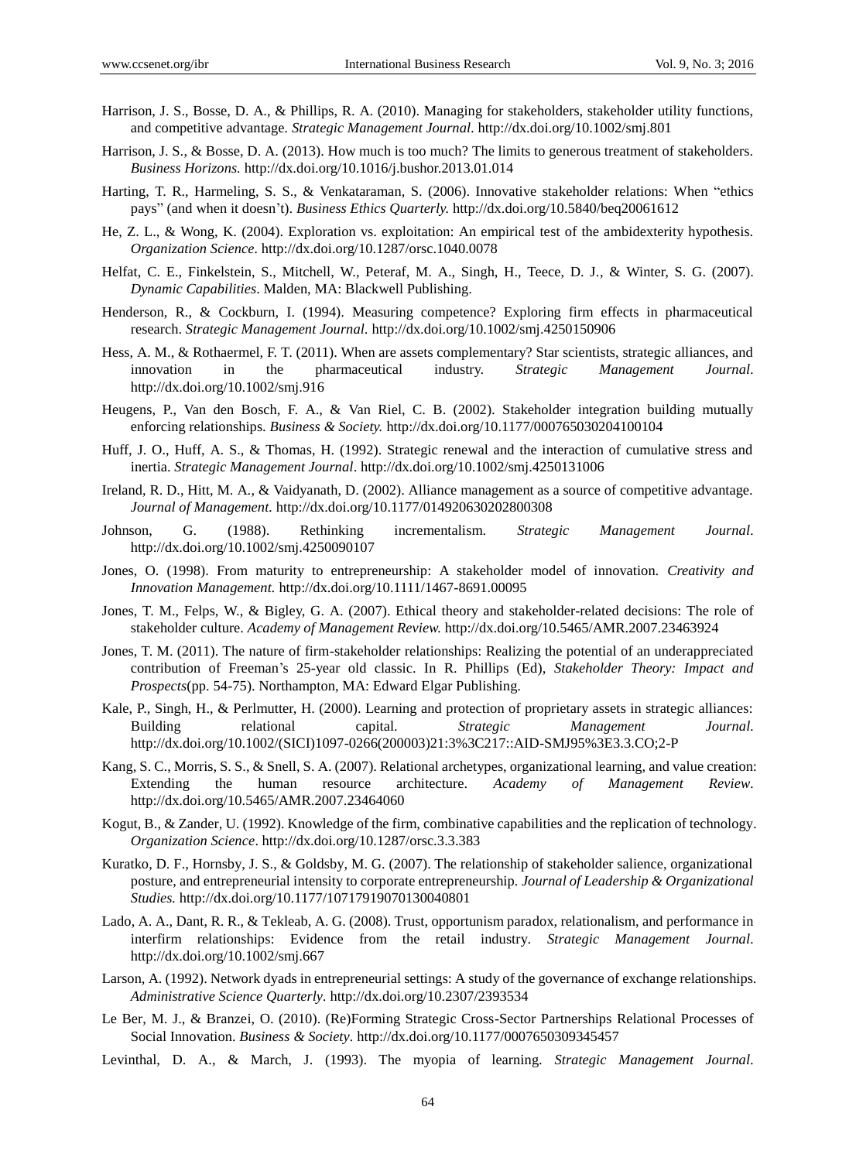- Harrison, J. S., Bosse, D. A., & Phillips, R. A. (2010). Managing for stakeholders, stakeholder utility functions, and competitive advantage. *Strategic Management Journal.* <http://dx.doi.org/10.1002/smj.801>
- Harrison, J. S., & Bosse, D. A. (2013). How much is too much? The limits to generous treatment of stakeholders. *Business Horizons.* <http://dx.doi.org/10.1016/j.bushor.2013.01.014>
- Harting, T. R., Harmeling, S. S., & Venkataraman, S. (2006). Innovative stakeholder relations: When "ethics pays" (and when it doesn't). *Business Ethics Quarterly.* <http://dx.doi.org/10.5840/beq20061612>
- He, Z. L., & Wong, K. (2004). Exploration vs. exploitation: An empirical test of the ambidexterity hypothesis. *Organization Science.* <http://dx.doi.org/10.1287/orsc.1040.0078>
- Helfat, C. E., Finkelstein, S., Mitchell, W., Peteraf, M. A., Singh, H., Teece, D. J., & Winter, S. G. (2007). *Dynamic Capabilities*. Malden, MA: Blackwell Publishing.
- Henderson, R., & Cockburn, I. (1994). Measuring competence? Exploring firm effects in pharmaceutical research. *Strategic Management Journal.* <http://dx.doi.org/10.1002/smj.4250150906>
- Hess, A. M., & Rothaermel, F. T. (2011). When are assets complementary? Star scientists, strategic alliances, and innovation in the pharmaceutical industry. *Strategic Management Journal.* <http://dx.doi.org/10.1002/smj.916>
- Heugens, P., Van den Bosch, F. A., & Van Riel, C. B. (2002). Stakeholder integration building mutually enforcing relationships. *Business & Society.* <http://dx.doi.org/10.1177/000765030204100104>
- Huff, J. O., Huff, A. S., & Thomas, H. (1992). Strategic renewal and the interaction of cumulative stress and inertia. *Strategic Management Journal*.<http://dx.doi.org/10.1002/smj.4250131006>
- Ireland, R. D., Hitt, M. A., & Vaidyanath, D. (2002). Alliance management as a source of competitive advantage. *Journal of Management.* <http://dx.doi.org/10.1177/014920630202800308>
- Johnson, G. (1988). Rethinking incrementalism. *Strategic Management Journal.* <http://dx.doi.org/10.1002/smj.4250090107>
- Jones, O. (1998). From maturity to entrepreneurship: A stakeholder model of innovation. *Creativity and Innovation Management.* <http://dx.doi.org/10.1111/1467-8691.00095>
- Jones, T. M., Felps, W., & Bigley, G. A. (2007). Ethical theory and stakeholder-related decisions: The role of stakeholder culture. *Academy of Management Review.* <http://dx.doi.org/10.5465/AMR.2007.23463924>
- Jones, T. M. (2011). The nature of firm-stakeholder relationships: Realizing the potential of an underappreciated contribution of Freeman's 25-year old classic. In R. Phillips (Ed), *Stakeholder Theory: Impact and Prospects*(pp. 54-75). Northampton, MA: Edward Elgar Publishing.
- Kale, P., Singh, H., & Perlmutter, H. (2000). Learning and protection of proprietary assets in strategic alliances: Building relational capital. *Strategic Management Journal.* [http://dx.doi.org/10.1002/\(SICI\)1097-0266\(200003\)21:3%3C217::AID-SMJ95%3E3.3.CO;2-P](http://dx.doi.org/10.1002/(SICI)1097-0266(200003)21:3%3C217::AID-SMJ95%3E3.3.CO;2-P)
- Kang, S. C., Morris, S. S., & Snell, S. A. (2007). Relational archetypes, organizational learning, and value creation: Extending the human resource architecture. *Academy of Management Review.* <http://dx.doi.org/10.5465/AMR.2007.23464060>
- Kogut, B., & Zander, U. (1992). Knowledge of the firm, combinative capabilities and the replication of technology. *Organization Science*. <http://dx.doi.org/10.1287/orsc.3.3.383>
- Kuratko, D. F., Hornsby, J. S., & Goldsby, M. G. (2007). The relationship of stakeholder salience, organizational posture, and entrepreneurial intensity to corporate entrepreneurship*. Journal of Leadership & Organizational Studies.* <http://dx.doi.org/10.1177/10717919070130040801>
- Lado, A. A., Dant, R. R., & Tekleab, A. G. (2008). Trust, opportunism paradox, relationalism, and performance in interfirm relationships: Evidence from the retail industry. *Strategic Management Journal.* <http://dx.doi.org/10.1002/smj.667>
- Larson, A. (1992). Network dyads in entrepreneurial settings: A study of the governance of exchange relationships. *Administrative Science Quarterly.* <http://dx.doi.org/10.2307/2393534>
- Le Ber, M. J., & Branzei, O. (2010). (Re)Forming Strategic Cross-Sector Partnerships Relational Processes of Social Innovation. *Business & Society.* <http://dx.doi.org/10.1177/0007650309345457>
- Levinthal, D. A., & March, J. (1993). The myopia of learning. *Strategic Management Journal.*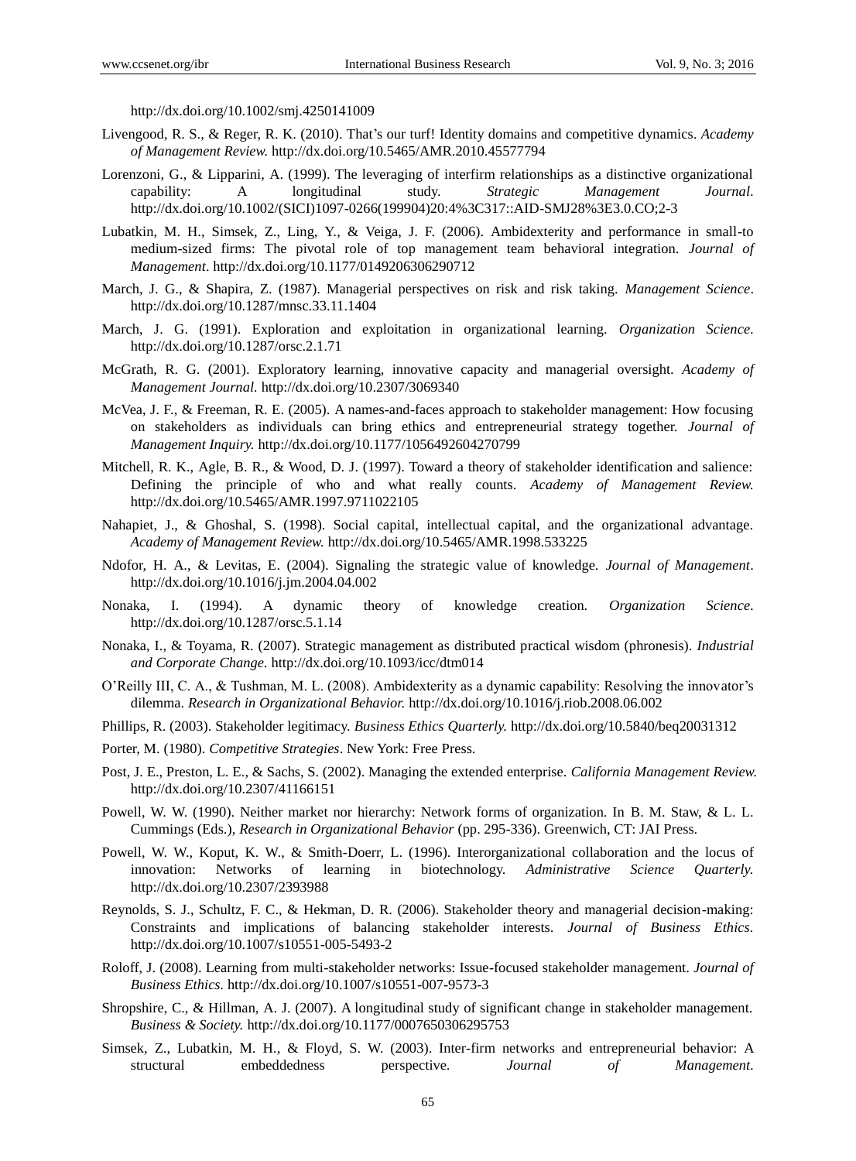<http://dx.doi.org/10.1002/smj.4250141009>

- Livengood, R. S., & Reger, R. K. (2010). That's our turf! Identity domains and competitive dynamics. *Academy of Management Review.* <http://dx.doi.org/10.5465/AMR.2010.45577794>
- Lorenzoni, G., & Lipparini, A. (1999). The leveraging of interfirm relationships as a distinctive organizational capability: A longitudinal study. *Strategic Management Journal.* [http://dx.doi.org/10.1002/\(SICI\)1097-0266\(199904\)20:4%3C317::AID-SMJ28%3E3.0.CO;2-3](http://dx.doi.org/10.1002/(SICI)1097-0266(199904)20:4%3C317::AID-SMJ28%3E3.0.CO;2-3)
- Lubatkin, M. H., Simsek, Z., Ling, Y., & Veiga, J. F. (2006). Ambidexterity and performance in small-to medium-sized firms: The pivotal role of top management team behavioral integration. *Journal of Management*. <http://dx.doi.org/10.1177/0149206306290712>
- March, J. G., & Shapira, Z. (1987). Managerial perspectives on risk and risk taking. *Management Science*. <http://dx.doi.org/10.1287/mnsc.33.11.1404>
- March, J. G. (1991). Exploration and exploitation in organizational learning. *Organization Science.* <http://dx.doi.org/10.1287/orsc.2.1.71>
- McGrath, R. G. (2001). Exploratory learning, innovative capacity and managerial oversight. *Academy of Management Journal.* <http://dx.doi.org/10.2307/3069340>
- McVea, J. F., & Freeman, R. E. (2005). A names-and-faces approach to stakeholder management: How focusing on stakeholders as individuals can bring ethics and entrepreneurial strategy together. *Journal of Management Inquiry.* <http://dx.doi.org/10.1177/1056492604270799>
- Mitchell, R. K., Agle, B. R., & Wood, D. J. (1997). Toward a theory of stakeholder identification and salience: Defining the principle of who and what really counts. *Academy of Management Review.* <http://dx.doi.org/10.5465/AMR.1997.9711022105>
- Nahapiet, J., & Ghoshal, S. (1998). Social capital, intellectual capital, and the organizational advantage. *Academy of Management Review.* <http://dx.doi.org/10.5465/AMR.1998.533225>
- Ndofor, H. A., & Levitas, E. (2004). Signaling the strategic value of knowledge. *Journal of Management*. <http://dx.doi.org/10.1016/j.jm.2004.04.002>
- Nonaka, I. (1994). A dynamic theory of knowledge creation. *Organization Science.* <http://dx.doi.org/10.1287/orsc.5.1.14>
- Nonaka, I., & Toyama, R. (2007). Strategic management as distributed practical wisdom (phronesis). *Industrial and Corporate Change.* <http://dx.doi.org/10.1093/icc/dtm014>
- O'Reilly III, C. A., & Tushman, M. L. (2008). Ambidexterity as a dynamic capability: Resolving the innovator's dilemma. *Research in Organizational Behavior.* <http://dx.doi.org/10.1016/j.riob.2008.06.002>
- Phillips, R. (2003). Stakeholder legitimacy. *Business Ethics Quarterly.* <http://dx.doi.org/10.5840/beq20031312>
- Porter, M. (1980). *Competitive Strategies*. New York: Free Press.
- Post, J. E., Preston, L. E., & Sachs, S. (2002). Managing the extended enterprise. *California Management Review.* <http://dx.doi.org/10.2307/41166151>
- Powell, W. W. (1990). Neither market nor hierarchy: Network forms of organization. In B. M. Staw, & L. L. Cummings (Eds.), *Research in Organizational Behavior* (pp. 295-336). Greenwich, CT: JAI Press.
- Powell, W. W., Koput, K. W., & Smith-Doerr, L. (1996). Interorganizational collaboration and the locus of innovation: Networks of learning in biotechnology. *Administrative Science Quarterly.* <http://dx.doi.org/10.2307/2393988>
- Reynolds, S. J., Schultz, F. C., & Hekman, D. R. (2006). Stakeholder theory and managerial decision-making: Constraints and implications of balancing stakeholder interests. *Journal of Business Ethics.* <http://dx.doi.org/10.1007/s10551-005-5493-2>
- Roloff, J. (2008). Learning from multi-stakeholder networks: Issue-focused stakeholder management. *Journal of Business Ethics.* <http://dx.doi.org/10.1007/s10551-007-9573-3>
- Shropshire, C., & Hillman, A. J. (2007). A longitudinal study of significant change in stakeholder management. *Business & Society.* <http://dx.doi.org/10.1177/0007650306295753>
- Simsek, Z., Lubatkin, M. H., & Floyd, S. W. (2003). Inter-firm networks and entrepreneurial behavior: A structural embeddedness perspective. *Journal of Management.*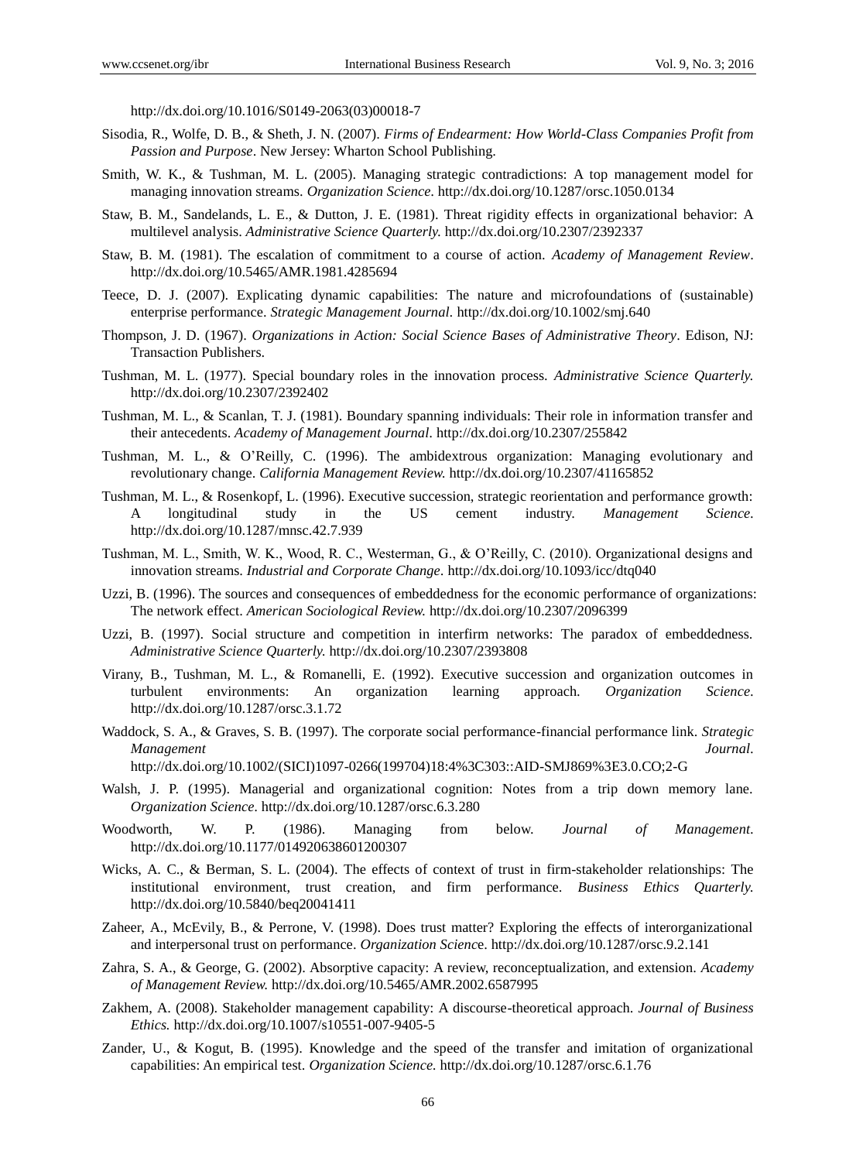[http://dx.doi.org/10.1016/S0149-2063\(03\)00018-7](http://dx.doi.org/10.1016/S0149-2063(03)00018-7)

- Sisodia, R., Wolfe, D. B., & Sheth, J. N. (2007). *Firms of Endearment: How World-Class Companies Profit from Passion and Purpose*. New Jersey: Wharton School Publishing.
- Smith, W. K., & Tushman, M. L. (2005). Managing strategic contradictions: A top management model for managing innovation streams. *Organization Science.* <http://dx.doi.org/10.1287/orsc.1050.0134>
- Staw, B. M., Sandelands, L. E., & Dutton, J. E. (1981). Threat rigidity effects in organizational behavior: A multilevel analysis. *Administrative Science Quarterly.* <http://dx.doi.org/10.2307/2392337>
- Staw, B. M. (1981). The escalation of commitment to a course of action. *Academy of Management Review*. <http://dx.doi.org/10.5465/AMR.1981.4285694>
- Teece, D. J. (2007). Explicating dynamic capabilities: The nature and microfoundations of (sustainable) enterprise performance. *Strategic Management Journal.* <http://dx.doi.org/10.1002/smj.640>
- Thompson, J. D. (1967). *Organizations in Action: Social Science Bases of Administrative Theory*. Edison, NJ: Transaction Publishers.
- Tushman, M. L. (1977). Special boundary roles in the innovation process. *Administrative Science Quarterly.* <http://dx.doi.org/10.2307/2392402>
- Tushman, M. L., & Scanlan, T. J. (1981). Boundary spanning individuals: Their role in information transfer and their antecedents. *Academy of Management Journal.* <http://dx.doi.org/10.2307/255842>
- Tushman, M. L., & O'Reilly, C. (1996). The ambidextrous organization: Managing evolutionary and revolutionary change. *California Management Review.* <http://dx.doi.org/10.2307/41165852>
- Tushman, M. L., & Rosenkopf, L. (1996). Executive succession, strategic reorientation and performance growth: A longitudinal study in the US cement industry. *Management Science.* <http://dx.doi.org/10.1287/mnsc.42.7.939>
- Tushman, M. L., Smith, W. K., Wood, R. C., Westerman, G., & O'Reilly, C. (2010). Organizational designs and innovation streams. *Industrial and Corporate Change.* <http://dx.doi.org/10.1093/icc/dtq040>
- Uzzi, B. (1996). The sources and consequences of embeddedness for the economic performance of organizations: The network effect. *American Sociological Review.* <http://dx.doi.org/10.2307/2096399>
- Uzzi, B. (1997). Social structure and competition in interfirm networks: The paradox of embeddedness. *Administrative Science Quarterly.* <http://dx.doi.org/10.2307/2393808>
- Virany, B., Tushman, M. L., & Romanelli, E. (1992). Executive succession and organization outcomes in turbulent environments: An organization learning approach. *Organization Science.* <http://dx.doi.org/10.1287/orsc.3.1.72>
- Waddock, S. A., & Graves, S. B. (1997). The corporate social performance-financial performance link. *Strategic Management Journal.* [http://dx.doi.org/10.1002/\(SICI\)1097-0266\(199704\)18:4%3C303::AID-SMJ869%3E3.0.CO;2-G](http://dx.doi.org/10.1002/(SICI)1097-0266(199704)18:4%3C303::AID-SMJ869%3E3.0.CO;2-G)
- Walsh, J. P. (1995). Managerial and organizational cognition: Notes from a trip down memory lane. *Organization Science.* <http://dx.doi.org/10.1287/orsc.6.3.280>
- Woodworth, W. P. (1986). Managing from below. *Journal of Management.* <http://dx.doi.org/10.1177/014920638601200307>
- Wicks, A. C., & Berman, S. L. (2004). The effects of context of trust in firm-stakeholder relationships: The institutional environment, trust creation, and firm performance. *Business Ethics Quarterly.* <http://dx.doi.org/10.5840/beq20041411>
- Zaheer, A., McEvily, B., & Perrone, V. (1998). Does trust matter? Exploring the effects of interorganizational and interpersonal trust on performance. *Organization Scienc*e. <http://dx.doi.org/10.1287/orsc.9.2.141>
- Zahra, S. A., & George, G. (2002). Absorptive capacity: A review, reconceptualization, and extension. *Academy of Management Review.* <http://dx.doi.org/10.5465/AMR.2002.6587995>
- Zakhem, A. (2008). Stakeholder management capability: A discourse-theoretical approach. *Journal of Business Ethics.* <http://dx.doi.org/10.1007/s10551-007-9405-5>
- Zander, U., & Kogut, B. (1995). Knowledge and the speed of the transfer and imitation of organizational capabilities: An empirical test. *Organization Science.* <http://dx.doi.org/10.1287/orsc.6.1.76>